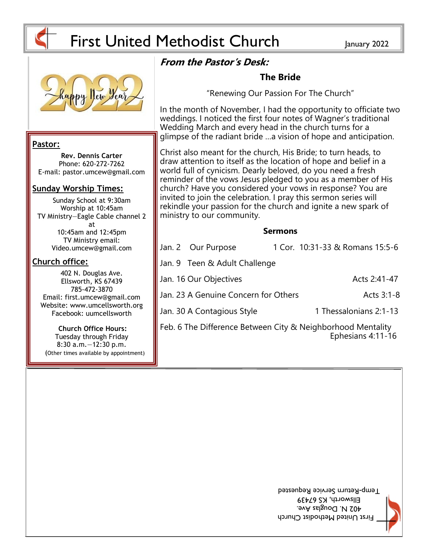

# First United Methodist Church January 2022

ministry to our community.

Jan. 9 Teen & Adult Challenge

# **From the Pastor's Desk:**

### **Pastor:**

**Rev. Dennis Carter** Phone: 620-272-7262 E-mail: pastor.umcew@gmail.com

### **Sunday Worship Times:**

Sunday School at 9:30am Worship at 10:45am TV Ministry—Eagle Cable channel 2 at 10:45am and 12:45pm TV Ministry email: Video.umcew@gmail.com

### **Church office:**

402 N. Douglas Ave. Ellsworth, KS 67439 785-472-3870 Email: first.umcew@gmail.com Facebook: uumcellsworth

Website: www.umcellsworth.org

**Church Office Hours:** Tuesday through Friday 8:30 a.m.—12:30 p.m. (Other times available by appointment)

Jan. 30 A Contagious Style 1 Thessalonians 2:1-13 Ephesians 4:11-16

**Sermons**

Jan. 2 Our Purpose 1 Cor. 10:31-33 & Romans 15:5-6

Jan. 16 Our Objectives **Acts** 2:41-47

Jan. 23 A Genuine Concern for Others Manusculphane Acts 3:1-8

**The Bride**

"Renewing Our Passion For The Church"

In the month of November, I had the opportunity to officiate two weddings. I noticed the first four notes of Wagner's traditional Wedding March and every head in the church turns for a

glimpse of the radiant bride …a vision of hope and anticipation.

Christ also meant for the church, His Bride; to turn heads, to draw attention to itself as the location of hope and belief in a world full of cynicism. Dearly beloved, do you need a fresh reminder of the vows Jesus pledged to you as a member of His church? Have you considered your vows in response? You are invited to join the celebration. I pray this sermon series will rekindle your passion for the church and ignite a new spark of

Feb. 6 The Difference Between City & Neighborhood Mentality

First United Methodist Church 402 N. Douglas Ave. Ellsworth, KS 67439 I emp-Return Service Requested



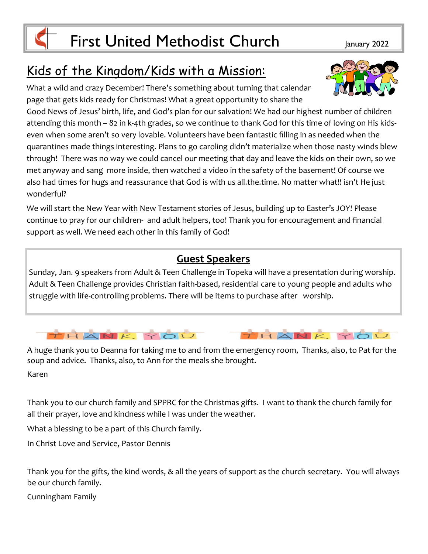## Kids of the Kingdom/Kids with a Mission:

What a wild and crazy December! There's something about turning that calendar page that gets kids ready for Christmas! What a great opportunity to share the

Good News of Jesus' birth, life, and God's plan for our salvation! We had our highest number of children attending this month – 82 in k-4th grades, so we continue to thank God for this time of loving on His kidseven when some aren't so very lovable. Volunteers have been fantastic filling in as needed when the quarantines made things interesting. Plans to go caroling didn't materialize when those nasty winds blew through! There was no way we could cancel our meeting that day and leave the kids on their own, so we met anyway and sang more inside, then watched a video in the safety of the basement! Of course we also had times for hugs and reassurance that God is with us all.the.time. No matter what!! isn't He just wonderful?

We will start the New Year with New Testament stories of Jesus, building up to Easter's JOY! Please continue to pray for our children- and adult helpers, too! Thank you for encouragement and financial support as well. We need each other in this family of God!

### **Guest Speakers**

Sunday, Jan. 9 speakers from Adult & Teen Challenge in Topeka will have a presentation during worship. Adult & Teen Challenge provides Christian faith-based, residential care to young people and adults who struggle with life-controlling problems. There will be items to purchase after worship.

THANK YOU

A huge thank you to Deanna for taking me to and from the emergency room, Thanks, also, to Pat for the soup and advice. Thanks, also, to Ann for the meals she brought. Karen

Thank you to our church family and SPPRC for the Christmas gifts. I want to thank the church family for all their prayer, love and kindness while I was under the weather.

What a blessing to be a part of this Church family.

In Christ Love and Service, Pastor Dennis

Thank you for the gifts, the kind words, & all the years of support as the church secretary. You will always be our church family.

Cunningham Family





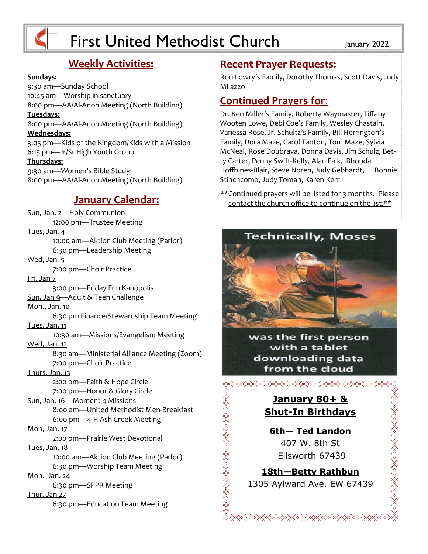

# First United Methodist Church January 2022

### **Weekly Activities:**

### **Sundays:**

9:30 am—Sunday School 10:45 am—Worship in sanctuary 8:00 pm—AA/Al-Anon Meeting (North Building) **Tuesdays:** 8:00 pm—AA/Al-Anon Meeting (North Building) **Wednesdays:** 3:05 pm—Kids of the Kingdom/Kids with a Mission 6:15 pm—Jr/Sr High Youth Group **Thursdays:** 9:30 am—Women's Bible Study 8:00 pm—AA/Al-Anon Meeting (North Building)

### **January Calendar:**

Sun, Jan. 2—Holy Communion 12:00 pm—Trustee Meeting Tues, Jan. 4 10:00 am—Aktion Club Meeting (Parlor) 6:30 pm—Leadership Meeting Wed, Jan. 5 7:00 pm—Choir Practice Fri. Jan 7 3:00 pm—Friday Fun Kanopolis Sun. Jan 9—Adult & Teen Challenge Mon., Jan. 10 6:30 pm Finance/Stewardship Team Meeting Tues, Jan. 11 10:30 am—Missions/Evangelism Meeting Wed, Jan. 12 8:30 am—Ministerial Alliance Meeting (Zoom) 7:00 pm—Choir Practice Thurs, Jan. 13 2:00 pm—Faith & Hope Circle 7:00 pm—Honor & Glory Circle Sun, Jan. 16—Moment 4 Missions 8:00 am—United Methodist Men-Breakfast 6:00 pm—4-H Ash Creek Meeting Mon, Jan. 17 2:00 pm—Prairie West Devotional Tues, Jan. 18 10:00 am—Aktion Club Meeting (Parlor) 6:30 pm—Worship Team Meeting Mon. Jan. 24 6:30 pm—SPPR Meeting Thur. Jan 27 6:30 pm—Education Team Meeting

### **Recent Prayer Requests:**

Ron Lowry's Family, Dorothy Thomas, Scott Davis, Judy Milazzo

### **Continued Prayers for**:

Dr. Ken Miller's Family, Roberta Waymaster, Tiffany Wooten Lowe, Debi Coe's Family, Wesley Chastain, Vanessa Rose, Jr. Schultz's Family, Bill Herrington's Family, Dora Maze, Carol Tanton, Tom Maze, Sylvia McNeal, Rose Doubrava, Donna Davis, Jim Schulz, Betty Carter, Penny Swift-Kelly, Alan Falk, Rhonda Hoffhines-Blair, Steve Noren, Judy Gebhardt, Bonnie Stinchcomb, Judy Toman, Karen Kerr

\*\*Continued prayers will be listed for 3 months. Please contact the church office to continue on the list.\*\*



was the first person with a tablet downloading data from the cloud

### **January 80+ & Shut-In Birthdays**

<del></del>

**6th— Ted Landon**  407 W. 8th St Ellsworth 67439

ELEKTRATIVAT ETA ELEKTRATIVAT ETA ELEKTRATIVAT ETA ELEKTRATIVAT ETA ELEKTRATIVAT ETA ELEKTRATIVAT ETA ELEKTRAT

**ARAMANANANANANANANA** 

**18th—Betty Rathbun** 1305 Aylward Ave, EW 67439